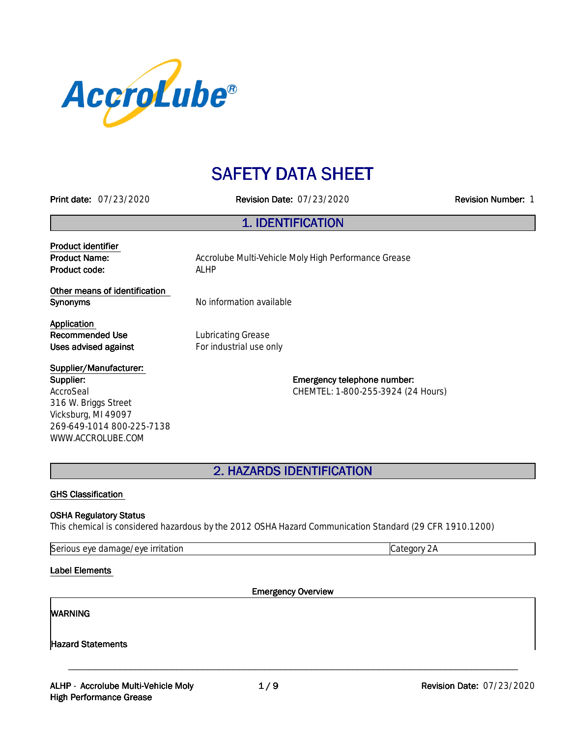

# **SAFETY DATA SHEET**

**Printdate:**07/23/2020 **RevisionDate:**07/23/2020 **RevisionNumber:**1

### **1.IDENTIFICATION**

**Product identifier Product code:** ALHP

**Product Name:** Accrolube Multi-Vehicle Moly High Performance Grease

**Other means of identification Synonyms** No information available

**Application Recommended Use** Lubricating Grease

**Uses advised against For industrial use only** 

**Supplier/Manufacturer: Supplier:** AccroSeal 316 W. Briggs Street Vicksburg, MI 49097 269-649-1014 800-225-7138 WWW.ACCROLUBE.COM

**Emergency telephone number:** CHEMTEL: 1-800-255-3924 (24 Hours)

**2.HAZARDSIDENTIFICATION**

#### **GHS Classification**

#### **OSHA Regulatory Status**

This chemical is considered hazardous by the 2012 OSHA Hazard Communication Standard (29 CFR 1910.1200)

Serious eye damage/eye irritation contract the contract of category 2A

**Label Elements** 

**Emergency Overview** 

\_\_\_\_\_\_\_\_\_\_\_\_\_\_\_\_\_\_\_\_\_\_\_\_\_\_\_\_\_\_\_\_\_\_\_\_\_\_\_\_\_\_\_\_\_\_\_\_\_\_\_\_\_\_\_\_\_\_\_\_\_\_\_\_\_\_\_\_\_\_\_\_\_\_\_\_\_\_\_\_\_\_\_\_\_\_\_

#### **WARNING**

**Hazard Statements**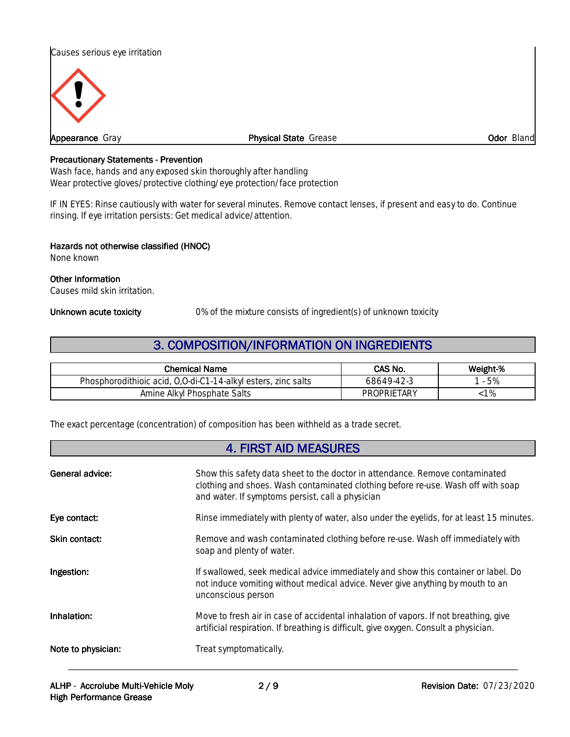



**Appearance** Gray **Physical State** Grease **Physical State** Grease *Odor Bland* 

#### **Precautionary Statements - Prevention**

Wash face, hands and any exposed skin thoroughly after handling Wear protective gloves/protective clothing/eye protection/face protection

IF IN EYES: Rinse cautiously with water for several minutes. Remove contact lenses, if present and easy to do. Continue rinsing. If eye irritation persists: Get medical advice/attention.

#### **Hazards not otherwise classified (HNOC)**

None known

#### **Other Information**

Causes mild skin irritation.

**Unknown acute toxicity** 0% of the mixture consists of ingredient(s) of unknown toxicity

### **3. COMPOSITION/INFORMATION ON INGREDIENTS**

| <b>Chemical Name</b>                                                           | CAS No.            | Weight-% |
|--------------------------------------------------------------------------------|--------------------|----------|
| $0, 0$ -di-C1-1<br>Phosphorodithioic acid,<br>, zinc salts<br>14-alkyl esters. | 68649-42-3         | 5%       |
| Amine Alkyl Phosphate Salts                                                    | <b>PROPRIETARY</b> |          |

The exact percentage (concentration) of composition has been withheld as a trade secret.

### **4.FIRSTAIDMEASURES**

| General advice:    | Show this safety data sheet to the doctor in attendance. Remove contaminated<br>clothing and shoes. Wash contaminated clothing before re-use. Wash off with soap<br>and water. If symptoms persist, call a physician |
|--------------------|----------------------------------------------------------------------------------------------------------------------------------------------------------------------------------------------------------------------|
| Eye contact:       | Rinse immediately with plenty of water, also under the eyelids, for at least 15 minutes.                                                                                                                             |
| Skin contact:      | Remove and wash contaminated clothing before re-use. Wash off immediately with<br>soap and plenty of water.                                                                                                          |
| Ingestion:         | If swallowed, seek medical advice immediately and show this container or label. Do<br>not induce vomiting without medical advice. Never give anything by mouth to an<br>unconscious person                           |
| Inhalation:        | Move to fresh air in case of accidental inhalation of vapors. If not breathing, give<br>artificial respiration. If breathing is difficult, give oxygen. Consult a physician.                                         |
| Note to physician: | Treat symptomatically.                                                                                                                                                                                               |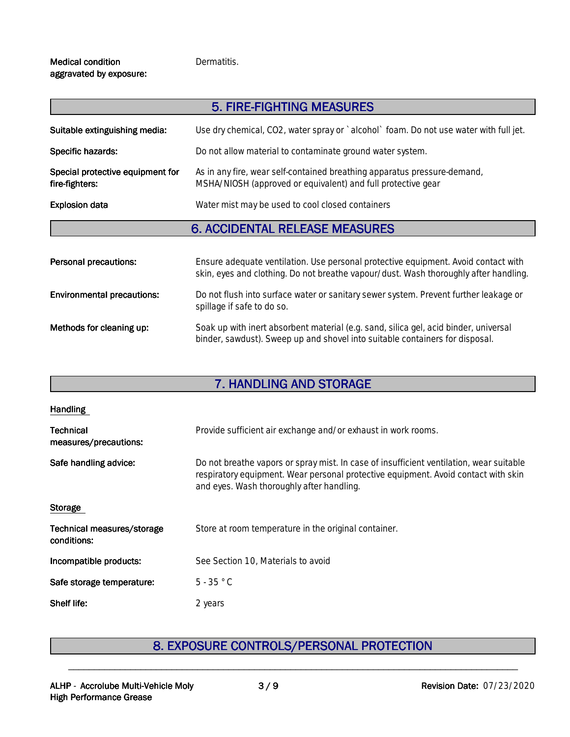#### **Medical condition** aggravated by exposure:

#### Dermatitis.

|                                                    | 5. FIRE-FIGHTING MEASURES                                                                                                                |
|----------------------------------------------------|------------------------------------------------------------------------------------------------------------------------------------------|
| Suitable extinguishing media:                      | Use dry chemical, CO2, water spray or `alcohol` foam. Do not use water with full jet.                                                    |
| Specific hazards:                                  | Do not allow material to contaminate ground water system.                                                                                |
| Special protective equipment for<br>fire-fighters: | As in any fire, wear self-contained breathing apparatus pressure-demand,<br>MSHA/NIOSH (approved or equivalent) and full protective gear |
| <b>Explosion data</b>                              | Water mist may be used to cool closed containers                                                                                         |
|                                                    | <b>6. ACCIDENTAL RELEASE MEASURES</b>                                                                                                    |

| Personal precautions:             | Ensure adequate ventilation. Use personal protective equipment. Avoid contact with<br>skin, eyes and clothing. Do not breathe vapour/dust. Wash thoroughly after handling. |
|-----------------------------------|----------------------------------------------------------------------------------------------------------------------------------------------------------------------------|
| <b>Environmental precautions:</b> | Do not flush into surface water or sanitary sewer system. Prevent further leakage or<br>spillage if safe to do so.                                                         |
| Methods for cleaning up:          | Soak up with inert absorbent material (e.g. sand, silica gel, acid binder, universal<br>binder, sawdust). Sweep up and shovel into suitable containers for disposal.       |

## **7. HANDLING AND STORAGE**

| <b>Handling</b>                           |                                                                                                                                                                                                                            |
|-------------------------------------------|----------------------------------------------------------------------------------------------------------------------------------------------------------------------------------------------------------------------------|
| <b>Technical</b><br>measures/precautions: | Provide sufficient air exchange and/or exhaust in work rooms.                                                                                                                                                              |
| Safe handling advice:                     | Do not breathe vapors or spray mist. In case of insufficient ventilation, wear suitable<br>respiratory equipment. Wear personal protective equipment. Avoid contact with skin<br>and eyes. Wash thoroughly after handling. |
| <b>Storage</b>                            |                                                                                                                                                                                                                            |
| Technical measures/storage<br>conditions: | Store at room temperature in the original container.                                                                                                                                                                       |
| Incompatible products:                    | See Section 10, Materials to avoid                                                                                                                                                                                         |
| Safe storage temperature:                 | $5 - 35 °C$                                                                                                                                                                                                                |
| Shelf life:                               | 2 years                                                                                                                                                                                                                    |

# **8. EXPOSURE CONTROLS/PERSONAL PROTECTION**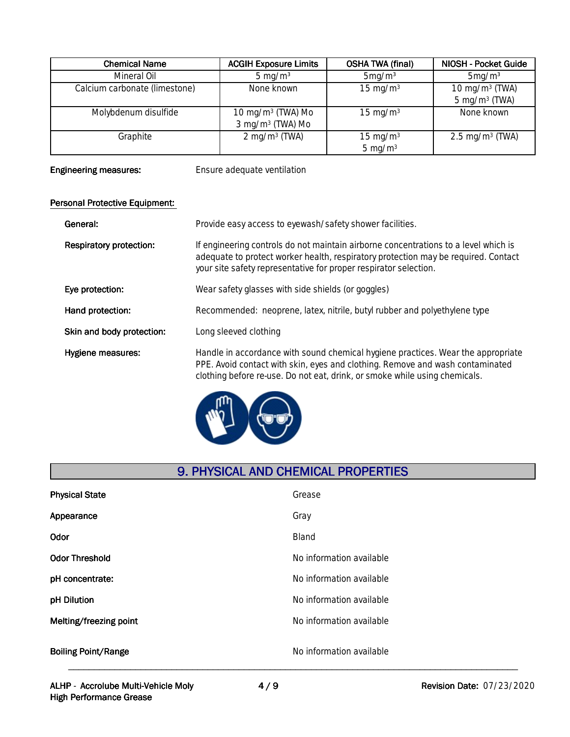| <b>Chemical Name</b>          | <b>ACGIH Exposure Limits</b> | <b>OSHA TWA (final)</b> | NIOSH - Pocket Guide          |
|-------------------------------|------------------------------|-------------------------|-------------------------------|
| Mineral Oil                   | 5 mg/m $3$                   | 5mg/m <sup>3</sup>      | $5 \text{mg/m}^3$             |
| Calcium carbonate (limestone) | None known                   | $15 \text{ mg/m}^3$     | 10 mg/m $3$ (TWA)             |
|                               |                              |                         | $5 \text{ mg/m}^3$ (TWA)      |
| Molybdenum disulfide          | $10 \text{ mg/m}^3$ (TWA) Mo | $15 \text{ mg/m}^3$     | None known                    |
|                               | $3 \text{ mg/m}^3$ (TWA) Mo  |                         |                               |
| Graphite                      | $2 \text{ mg/m}^3$ (TWA)     | 15 mg/m $3$             | $2.5 \,\mathrm{mg/m^3}$ (TWA) |
|                               |                              | $5 \text{ mg/m}^3$      |                               |

**Engineering measures:** Ensure adequate ventilation

### **Personal Protective Equipment:**

| General:                       | Provide easy access to eyewash/safety shower facilities.                                                                                                                                                                                        |
|--------------------------------|-------------------------------------------------------------------------------------------------------------------------------------------------------------------------------------------------------------------------------------------------|
| <b>Respiratory protection:</b> | If engineering controls do not maintain airborne concentrations to a level which is<br>adequate to protect worker health, respiratory protection may be required. Contact<br>your site safety representative for proper respirator selection.   |
| Eye protection:                | Wear safety glasses with side shields (or goggles)                                                                                                                                                                                              |
| Hand protection:               | Recommended: neoprene, latex, nitrile, butyl rubber and polyethylene type                                                                                                                                                                       |
| Skin and body protection:      | Long sleeved clothing                                                                                                                                                                                                                           |
| Hygiene measures:              | Handle in accordance with sound chemical hygiene practices. Wear the appropriate<br>PPE. Avoid contact with skin, eyes and clothing. Remove and wash contaminated<br>clothing before re-use. Do not eat, drink, or smoke while using chemicals. |



## **9. PHYSICAL AND CHEMICAL PROPERTIES**

| <b>Physical State</b>      | Grease                   |
|----------------------------|--------------------------|
| Appearance                 | Gray                     |
| Odor                       | Bland                    |
| <b>Odor Threshold</b>      | No information available |
| pH concentrate:            | No information available |
| pH Dilution                | No information available |
| Melting/freezing point     | No information available |
| <b>Boiling Point/Range</b> | No information available |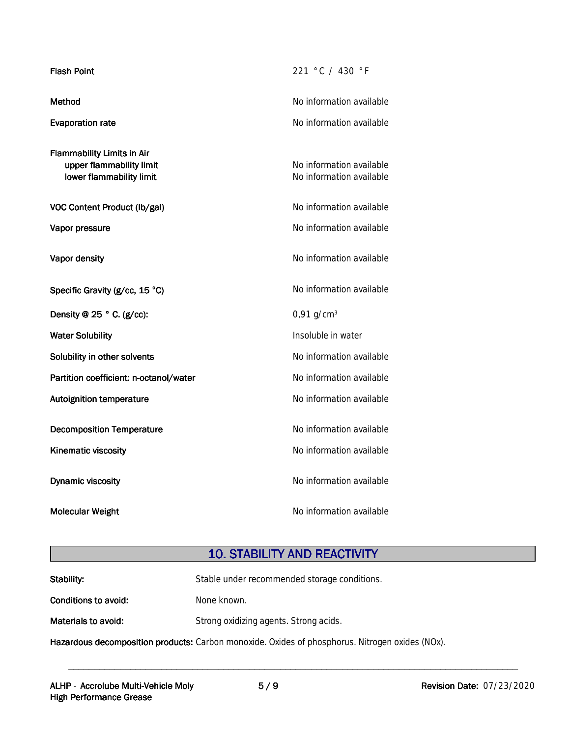| <b>Flash Point</b>                                                                        | 221 °C / 430 °F                                      |
|-------------------------------------------------------------------------------------------|------------------------------------------------------|
| Method                                                                                    | No information available                             |
| <b>Evaporation rate</b>                                                                   | No information available                             |
| <b>Flammability Limits in Air</b><br>upper flammability limit<br>lower flammability limit | No information available<br>No information available |
| VOC Content Product (lb/gal)                                                              | No information available                             |
| Vapor pressure                                                                            | No information available                             |
| Vapor density                                                                             | No information available                             |
| Specific Gravity (g/cc, 15 °C)                                                            | No information available                             |
| Density @ $25 °$ C. (g/cc):                                                               | $0,91$ g/cm <sup>3</sup>                             |
| <b>Water Solubility</b>                                                                   | Insoluble in water                                   |
| Solubility in other solvents                                                              | No information available                             |
| Partition coefficient: n-octanol/water                                                    | No information available                             |
| <b>Autoignition temperature</b>                                                           | No information available                             |
| <b>Decomposition Temperature</b>                                                          | No information available                             |
| Kinematic viscosity                                                                       | No information available                             |
| <b>Dynamic viscosity</b>                                                                  | No information available                             |
| <b>Molecular Weight</b>                                                                   | No information available                             |

# **10. STABILITY AND REACTIVITY**

| Stability:           | Stable under recommended storage conditions.                                                    |
|----------------------|-------------------------------------------------------------------------------------------------|
| Conditions to avoid: | None known.                                                                                     |
| Materials to avoid:  | Strong oxidizing agents. Strong acids.                                                          |
|                      | Hazardous decomposition products: Carbon monoxide. Oxides of phosphorus. Nitrogen oxides (NOx). |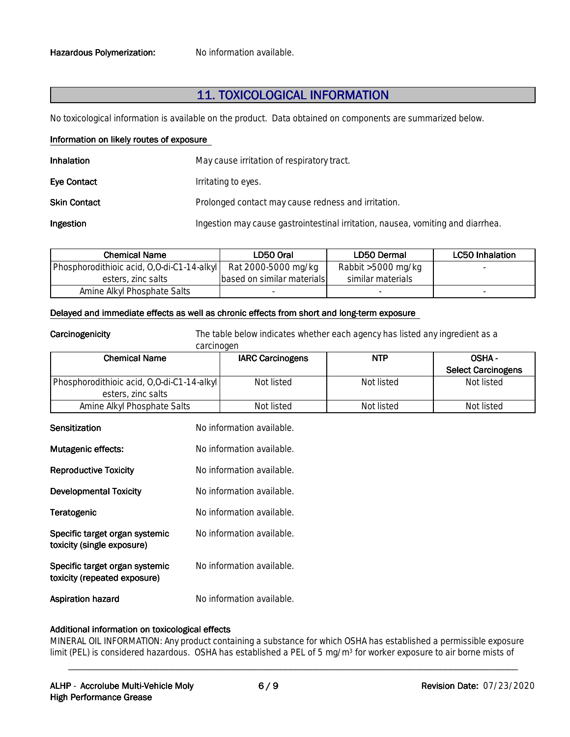### **11.TOXICOLOGICALINFORMATION**

No toxicological information is available on the product. Data obtained on components are summarized below.

#### **Information on likely routes of exposure**

| Inhalation          | May cause irritation of respiratory tract.                                      |
|---------------------|---------------------------------------------------------------------------------|
| <b>Eve Contact</b>  | Irritating to eyes.                                                             |
| <b>Skin Contact</b> | Prolonged contact may cause redness and irritation.                             |
| Ingestion           | Ingestion may cause gastrointestinal irritation, nausea, vomiting and diarrhea. |

| <b>Chemical Name</b>                       | LD50 Oral                    | LD50 Dermal        | LC50 Inhalation |
|--------------------------------------------|------------------------------|--------------------|-----------------|
| Phosphorodithioic acid, 0,0-di-C1-14-alkyl | Rat 2000-5000 mg/kg          | Rabbit >5000 mg/kg |                 |
| esters, zinc salts                         | Ibased on similar materialsl | similar materials  |                 |
| Amine Alkyl Phosphate Salts                |                              |                    |                 |

#### Delayed and immediate effects as well as chronic effects from short and long-term exposure

**Carcinogenicity** The table below indicates whether each agency has listed any ingredient as a carcinogen

| <b>Chemical Name</b>                       | <b>IARC Carcinogens</b> | <b>NTP</b> | OSHA-                     |
|--------------------------------------------|-------------------------|------------|---------------------------|
|                                            |                         |            | <b>Select Carcinogens</b> |
| Phosphorodithioic acid, 0,0-di-C1-14-alkyl | Not listed              | Not listed | Not listed                |
| esters, zinc salts                         |                         |            |                           |
| Amine Alkyl Phosphate Salts                | Not listed              | Not listed | Not listed                |

| Sensitization                                                  | No information available. |
|----------------------------------------------------------------|---------------------------|
| <b>Mutagenic effects:</b>                                      | No information available. |
| <b>Reproductive Toxicity</b>                                   | No information available. |
| Developmental Toxicity                                         | No information available. |
| Teratogenic                                                    | No information available. |
| Specific target organ systemic<br>toxicity (single exposure)   | No information available. |
| Specific target organ systemic<br>toxicity (repeated exposure) | No information available. |
| Aspiration hazard                                              | No information available. |

#### **Additional information on toxicological effects**

MINERAL OIL INFORMATION: Any product containing a substance for which OSHA has established a permissible exposure limit (PEL) is considered hazardous. OSHA has established a PEL of 5 mg/m<sup>3</sup> for worker exposure to air borne mists of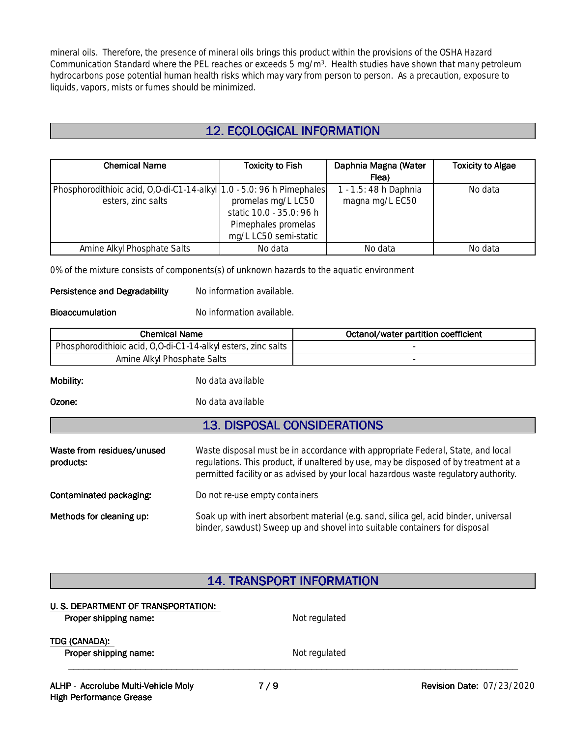mineral oils. Therefore, the presence of mineral oils brings this product within the provisions of the OSHA Hazard Communication Standard where the PEL reaches or exceeds 5 mg/m<sup>3</sup>. Health studies have shown that many petroleum hydrocarbons pose potential human health risks which may vary from person to person. As a precaution, exposure to liquids, vapors, mists or fumes should be minimized.

### **12.ECOLOGICALINFORMATION**

| <b>Chemical Name</b>                                                  | <b>Toxicity to Fish</b>  | Daphnia Magna (Water  | <b>Toxicity to Algae</b> |
|-----------------------------------------------------------------------|--------------------------|-----------------------|--------------------------|
|                                                                       |                          | Flea)                 |                          |
| Phosphorodithioic acid, O,O-di-C1-14-alkyl 1.0 - 5.0: 96 h Pimephales |                          | 1 - 1.5: 48 h Daphnia | No data                  |
| esters, zinc salts                                                    | promelas mg/L LC50       | magna mg/L EC50       |                          |
|                                                                       | static 10.0 - 35.0: 96 h |                       |                          |
|                                                                       | Pimephales promelas      |                       |                          |
|                                                                       | mg/L LC50 semi-static    |                       |                          |
| Amine Alkyl Phosphate Salts                                           | No data                  | No data               | No data                  |

0% of the mixture consists of components(s) of unknown hazards to the aquatic environment

#### **Persistence and Degradability** No information available.

**Bioaccumulation** No information available.

| <b>Chemical Name</b>                                          |                                    | Octanol/water partition coefficient                                                                                                                                                                                                                             |
|---------------------------------------------------------------|------------------------------------|-----------------------------------------------------------------------------------------------------------------------------------------------------------------------------------------------------------------------------------------------------------------|
| Phosphorodithioic acid, 0,0-di-C1-14-alkyl esters, zinc salts |                                    |                                                                                                                                                                                                                                                                 |
| Amine Alkyl Phosphate Salts                                   |                                    |                                                                                                                                                                                                                                                                 |
| Mobility:                                                     | No data available                  |                                                                                                                                                                                                                                                                 |
| Ozone:                                                        | No data available                  |                                                                                                                                                                                                                                                                 |
|                                                               | <b>13. DISPOSAL CONSIDERATIONS</b> |                                                                                                                                                                                                                                                                 |
| Waste from residues/unused<br>products:                       |                                    | Waste disposal must be in accordance with appropriate Federal, State, and local<br>regulations. This product, if unaltered by use, may be disposed of by treatment at a<br>permitted facility or as advised by your local hazardous waste regulatory authority. |
| Contaminated packaging:                                       | Do not re-use empty containers     |                                                                                                                                                                                                                                                                 |
| Methods for cleaning up:                                      |                                    | Soak up with inert absorbent material (e.g. sand, silica gel, acid binder, universal<br>binder, sawdust) Sweep up and shovel into suitable containers for disposal                                                                                              |

### **14. TRANSPORT INFORMATION**

#### **U.S. DEPARTMENT OF TRANSPORTATION:**

| Proper shipping name:                  | Not regulated |  |
|----------------------------------------|---------------|--|
| TDG (CANADA):<br>Proper shipping name: | Not regulated |  |
|                                        |               |  |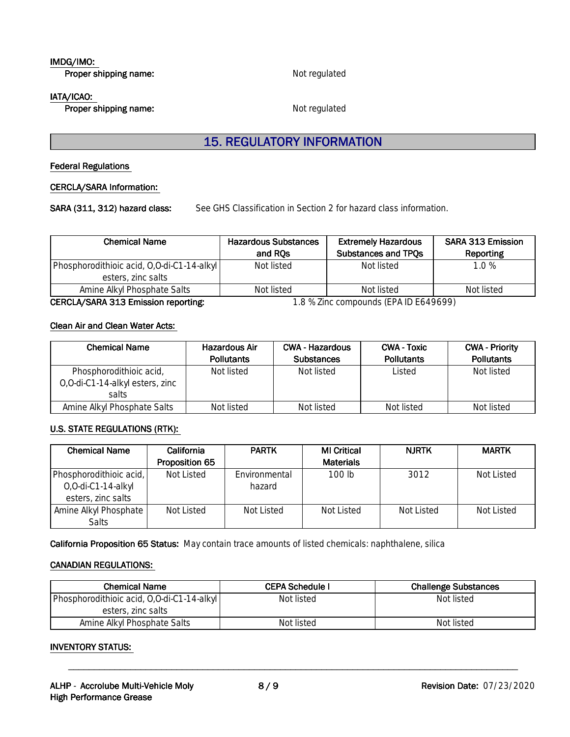### **IMDG/IMO:**

**Proper shipping name:** Not regulated

#### **IATA/ICAO:**

**Proper shipping name:** Not regulated

### **15. REGULATORY INFORMATION**

#### **Federal Regulations**

#### **CERCLA/SARAInformation:**

SARA (311, 312) hazard class: See GHS Classification in Section 2 for hazard class information.

| <b>Chemical Name</b>                       | <b>Hazardous Substances</b> | <b>Extremely Hazardous</b> | <b>SARA 313 Emission</b> |
|--------------------------------------------|-----------------------------|----------------------------|--------------------------|
|                                            | and RQs                     | Substances and TPQs        | Reporting                |
| Phosphorodithioic acid, 0,0-di-C1-14-alkyl | Not listed                  | Not listed                 | 1.0%                     |
| esters, zinc salts                         |                             |                            |                          |
| Amine Alkyl Phosphate Salts                | Not listed                  | Not listed                 | Not listed               |

**CERCLA/SARA 313 Emission reporting:** 1.8 % Zinc compounds (EPA ID E649699)

#### **Clean Air and Clean Water Acts:**

| Chemical Name                                                        | <b>Hazardous Air</b><br><b>Pollutants</b> | <b>CWA - Hazardous</b><br><b>Substances</b> | <b>CWA - Toxic</b><br><b>Pollutants</b> | <b>CWA - Priority</b><br><b>Pollutants</b> |
|----------------------------------------------------------------------|-------------------------------------------|---------------------------------------------|-----------------------------------------|--------------------------------------------|
| Phosphorodithioic acid,<br>0,0-di-C1-14-alkyl esters, zinc<br>salts. | Not listed                                | Not listed                                  | Listed                                  | Not listed                                 |
| Amine Alkyl Phosphate Salts                                          | Not listed                                | Not listed                                  | Not listed                              | Not listed                                 |

#### **U.S. STATE REGULATIONS (RTK):**

| <b>Chemical Name</b>    | <b>California</b>     | <b>PARTK</b>  | <b>MI Critical</b> | <b>NJRTK</b> | <b>MARTK</b> |
|-------------------------|-----------------------|---------------|--------------------|--------------|--------------|
|                         | <b>Proposition 65</b> |               | <b>Materials</b>   |              |              |
| Phosphorodithioic acid, | Not Listed            | Environmental | 100 lb             | 3012         | Not Listed   |
| O,O-di-C1-14-alkyl      |                       | hazard        |                    |              |              |
| esters, zinc salts      |                       |               |                    |              |              |
| Amine Alkyl Phosphate   | Not Listed            | Not Listed    | Not Listed         | Not Listed   | Not Listed   |
| Salts                   |                       |               |                    |              |              |

California Proposition 65 Status: May contain trace amounts of listed chemicals: naphthalene, silica

#### **CANADIAN REGULATIONS:**

| <b>Chemical Name</b>                       | <b>CEPA Schedule I</b> | <b>Challenge Substances</b> |
|--------------------------------------------|------------------------|-----------------------------|
| Phosphorodithioic acid, 0,0-di-C1-14-alkyl | Not listed             | Not listed                  |
| esters, zinc salts                         |                        |                             |
| Amine Alkyl Phosphate Salts                | Not listed             | Not listed                  |

\_\_\_\_\_\_\_\_\_\_\_\_\_\_\_\_\_\_\_\_\_\_\_\_\_\_\_\_\_\_\_\_\_\_\_\_\_\_\_\_\_\_\_\_\_\_\_\_\_\_\_\_\_\_\_\_\_\_\_\_\_\_\_\_\_\_\_\_\_\_\_\_\_\_\_\_\_\_\_\_\_\_\_\_\_\_\_

#### **INVENTORY STATUS:**